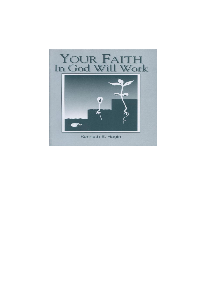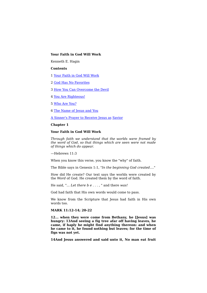# **Your Faith in God Will Work**

Kenneth E. Hagin

# **Contents**

- 1 Your Faith in God Will Work
- 2 God Has No Favorites
- 3 How You Can Overcome the Devil
- 4 You Are Righteous!
- 5 Who Are You?
- 6 The Name of Jesus and You

A Sinner's Prayer to Receive Jesus as Savior

#### **Chapter 1**

# **Your Faith in God Will Work**

*Through faith we understand that the worlds were framed by the word of God, so that things which are seen were not made of things which do appear.*

—Hebrews 11:3

When you know this verse, you know the "why" of faith.

The Bible says in Genesis 1:1, *"In the beginning God created...."*

How did He create? Our text says the worlds were created by the *Word* of God. He created them by the word of faith.

He said, "... *Let there b e . . . , "* and there *was!*

God had faith that His own words would come to pass.

We know from the Scripture that Jesus had faith in His own words too.

# **MARK 11:12-14; 20-22**

**12... when they were come from Bethany, he [Jesus] was hungry: 13And seeing a fig tree afar off having leaves, he came, if haply he might find anything thereon: and when he came to it, he found nothing but leaves; for the time of figs was not yet.**

**14And Jesus answered and said unto it, No man eat fruit**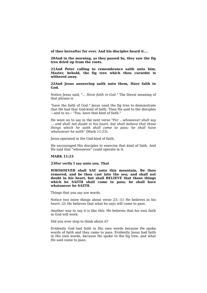**of thee hereafter for ever. And his disciples heard it....**

**20And in the morning, as they passed by, they saw the fig tree dried up from the roots.**

**21And Peter calling to remembrance saith unto him, Master, behold, the fig tree which thou cursedst is withered away.**

**22And Jesus answering saith unto them, Have faith in God.**

Notice Jesus said, *"... Have faith in God."* The literal meaning of that phrase is

"have the faith of God." Jesus used the fig tree to demonstrate that He had that God-kind of faith. Then He said to the disciples —and to us— *"You,* have that kind of faith."

He went on to say in the next verse *"For ...whosoever shall say ... and shall not doubt in his heart, but shall believe that those things which he saith shall come to pass; he shall have whatsoever he saith"* (Mark 11:23).

Jesus operated in the God-kind of faith.

He encouraged His disciples to exercise that kind of faith. And He said that "whosoever" could operate in it.

#### **MARK 11:23**

**23For verily I say unto you, That**

*WHOSOEVER* **shall SAY unto this mountain, Be thou removed, and be thou cast into the sea; and shall not doubt in his heart, but shall BELIEVE that those things which he SAITH shall come to pass; he shall have whatsoever he SAITH.**

Things that you say are words.

Notice two more things about verse 23: (1) He believes in his *heart*; (2) He believes that what he says will come to pass.

Another way to say it is like this: He believes that his own faith in God will work.

Did you ever stop to think about it?

Evidently God had faith in His own words because He spoke words of faith and they came to pass. Evidently Jesus had faith in His own words, because He spoke to the fig tree, and what He said came to pass.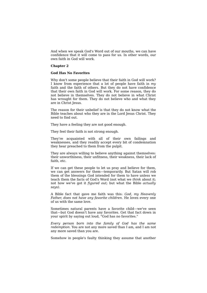And when we speak God's Word out of our mouths, we can have confidence that it will come to pass for us. In other words, our own faith in God will work.

#### **Chapter 2**

## **God Has No Favorites**

Why don't some people believe that their faith in God will work? I know from experience that a lot of people have faith in *my* faith and the faith of others. But they do not have confidence that their own faith in God will work. For some reason, they do not believe in themselves. They do not believe in what Christ has wrought for them. They do not believe who and what they are in Christ Jesus.

The reason for their unbelief is that they do not know what the Bible teaches about who they are in the Lord Jesus Christ. They need to find out.

They have a feeling they are not good enough.

They feel their faith is not strong enough.

They're acquainted with all of their own failings and weaknesses, and they readily accept every bit of condemnation they hear preached to them from the pulpit.

They are always willing to believe anything against themselves: their unworthiness, their unfitness, their weakness, their lack of faith, etc.

If we can get these people to let us pray and believe for them, we can get answers for them—temporarily. But Satan will rob them of the blessings God intended for them to have unless we teach them the facts of God's Word (not what we *think* about it; not how we've got it *figured out;* but what the Bible *actually says).*

A Bible fact that gave me faith was this: *God, my Heavenly Father, does not have any favorite children.* He loves every one of us with the same love.

Sometimes natural parents have a favorite child—we've seen that—but God doesn't have any favorites. Get that fact down in your spirit by saying out loud, "God has no favorites."

*Every person born into the family of God has the same redemption.* You are not any more saved than I am, and I am not any more saved than you are.

Somehow in people's faulty thinking they assume that another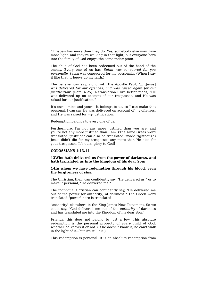Christian has more than they do. Yes, somebody else may have more light, and they're walking in that light, but everyone born into the family of God enjoys the same redemption.

The child of God has been redeemed out of the hand of the enemy. Every one of us has. *Satan was conquered for you personally.* Satan was conquered for me personally. (When I say it like that, it buoys up my faith.)

The believer can say, along with the Apostle Paul, *"...* [Jesus] *was delivered for our offences, and was raised again for our justification"* (Rom. 4:25). A translation I like better reads, "He was delivered up on account of our trespasses, and He was raised for our justification."

It's ours—mine and yours! It belongs to us, so I can make that personal. I can say He was delivered on account of *my* offenses, and He was raised for *my* justification.

Redemption belongs to every one of us.

Furthermore, I'm not any more justified than you are, and you're not any more justified than I am. (The same Greek word translated "justified" can also be translated "made righteous.") Jesus didn't die for my trespasses any more than He died for your trespasses. It's ours, glory to God!

# **COLOSSIANS 1:13,14**

## **13Who hath delivered us from the power of darkness, and hath translated us into the kingdom of his dear Son:**

# **14In whom we have redemption through his blood, even the forgiveness of sins.**

The Christian, then, can confidently say, "He delivered us," or to make it personal, "He delivered me."

The individual Christian can confidently say, "He delivered me out of the power (or authority) of darkness." The Greek word translated "power" here is translated

"authority" elsewhere in the King James New Testament. So we could say, "God delivered me out of the *authority* of darkness and has translated me into the Kingdom of his dear Son."

Friends, this does not belong to just a few. This absolute redemption is the personal property of *every* child of God, whether he knows it or not. (If he doesn't know it, he can't walk in the light of it—but it's still his.)

This redemption is personal. It is an absolute redemption from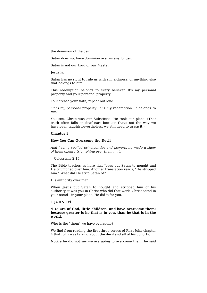the dominion of the devil.

Satan does not have dominion over us any longer.

Satan is not our Lord or our Master.

Jesus is.

Satan has no right to rule us with sin, sickness, or anything else that belongs to him.

This redemption belongs to every believer. It's my personal property and your personal property.

To increase your faith, repeat out loud:

"It is *my* personal property. It is *my* redemption. It belongs to *me."*

You see, Christ was our Substitute. He took our place. (That truth often falls on deaf ears because that's not the way we have been taught; nevertheless, we still need to grasp it.)

#### **Chapter 3**

# **How You Can Overcome the Devil**

*And having spoiled principalities and powers, he made a shew of them openly, triumphing over them in it.*

—Colossians 2:15

The Bible teaches us here that Jesus put Satan to nought and He triumphed over him. Another translation reads, "He stripped him." What did He strip Satan of?

His authority over man.

When Jesus put Satan to nought and stripped him of his authority, it was you in Christ who did that work. Christ acted in your stead—in your place. He did it for you.

## **1 JOHN 4:4**

# **4 Ye are of God, little children, and have overcome them: because greater is he that is in you, than he that is in the world.**

Who is the "them" we have overcome?

We find from reading the first three verses of First John chapter 4 that John was talking about the devil and all of his cohorts.

Notice he did not say we are *going* to overcome them; he said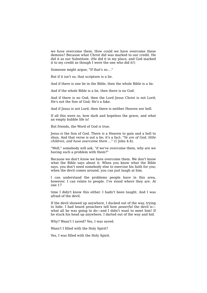we *have* overcome them. How could we have overcome these demons? Because what Christ did was marked to our credit. He did it as our Substitute. (He did it in my place, and God marked it to my credit as though I were the one who did it!)

Someone might argue, "If that's so...."

But if it isn't so, that scripture is a lie.

And if there is one lie in the Bible, then the whole Bible is a lie.

And if the whole Bible is a lie, then there is no God.

And if there is no God, then the Lord Jesus Christ is not Lord: He's not the Son of God; He's a fake.

And if Jesus is not Lord, then there is neither Heaven nor hell.

If all this were so, how dark and hopeless the grave, and what an empty bubble life is!

But friends, the Word of God *is* true.

Jesus *is* the Son of God. There *is* a Heaven to gain and a hell to shun. And that verse is not a lie; it's a fact: *"Ye are of God, little children, and have overcome them ..."* (1 John 4:4).

"Well," somebody will ask, "if we've overcome them, why are we having such a problem with them?"

Because we don't *know* we have overcome them. We don't know what the Bible says about it. When you know what the Bible says, you don't need somebody else to exercise his faith for you; when the devil comes around, you can just laugh at him.

I can understand the problems people have in this area, however. I can relate to people. I've stood where they are. At one 17

time I didn't know this either. I hadn't been taught. And I was afraid of the devil.

If the devil showed up anywhere, I ducked out of the way, trying to hide. I had heard preachers tell how *powerful* the devil is what all he was going to do—and I didn't want to meet him! If he stuck his head up anywhere, I darted out of the way and hid.

Why? Wasn't I saved? Yes, I was saved.

Wasn't I filled with the Holy Spirit?

Yes, I was filled with the Holy Spirit.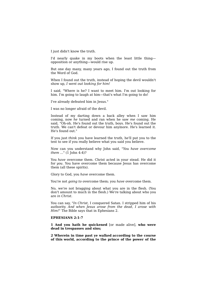I just didn't know the truth.

I'd nearly quake in my boots when the least little thing opposition or anything—would rise up.

But one day many, many years ago, I found out the truth from the Word of God.

When I found out the truth, instead of hoping the devil wouldn't show up, *I went out looking for him!*

I said, "Where is he? I want to meet him. I'm out looking for him. I'm going to laugh at him—that's what I'm going to do!

I've already defeated him in Jesus."

I was no longer afraid of the devil.

Instead of my darting down a back alley when I saw him coming, now *he* turned and ran when he saw *me* coming. He said, "Oh-oh. He's found out the truth, boys. He's found out the truth. We can't defeat or devour him anymore. He's learned it. He's found out."

If you just *think* you have learned the truth, he'll put you to the test to see if you really believe what you said you believe.

Now can you understand why John said, *"You have overcome them* ..."  $(1$  John 4:4)?

You *have* overcome them. Christ acted in your stead. He did it for *you.* You have overcome them because Jesus has overcome them (all these spirits).

Glory to God, you *have* overcome them.

You're not *going to* overcome them; you *have* overcome them.

No, we're not bragging about what you are in the flesh. (You don't amount to much in the flesh.) We're talking about who you are *in Christ.*

You can say, *"In Christ,* I conquered Satan. I stripped him of his authority. *And when Jesus arose from the dead, I arose with Him!"* The Bible says that in Ephesians 2.

#### **EPHESIANS 2:1-7**

**1 And you hath he quickened** [or made alive], **who were dead in trespasses and sins;**

**2 Wherein in time past ye walked according to the course of this world, according to the prince of the power of the**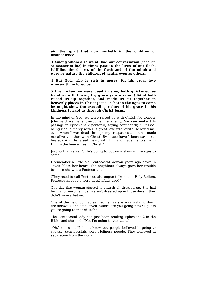**air, the spirit that now worketh in the children of disobedience:**

**3 Among whom also we all had our conversation** [conduct, or manner of life] **in times past in the lusts of our flesh, fulfilling the desires of the flesh and of the mind; and were by nature the children of wrath, even as others.**

**4 But God, who is rich in mercy, for his great love wherewith he loved us,**

**5 Even when we were dead in sins, hath quickened us together with Christ, (by grace ye are saved;) 6And hath raised us up together, and made us sit together in heavenly places in Christ Jesus: 7That in the ages to come he might shew the exceeding riches of his grace in his kindness toward us through Christ Jesus.**

In the mind of God, we were raised up with Christ. No wonder John said we have overcome the enemy. We can make this passage in Ephesians 2 personal, saying confidently, "But God, being rich in mercy with His great love wherewith He loved me, even when I was dead through my trespasses and sins, made me alive together with Christ. By grace have I been saved (or healed). And He raised me up with Him and made me to sit with Him in the heavenlies in Christ."

Just look at verse 7: He's going to put on a show in the ages to come!

I remember a little old Pentecostal woman years ago down in Texas, bless her heart. The neighbors always gave her trouble because she was a Pentecostal.

(They used to call Pentecostals tongue-talkers and Holy Rollers. Pentecostal people were despitefully used.)

One day this woman started to church all dressed up. She had her hat on—women just weren't dressed up in those days if they didn't have a hat on.

One of the neighbor ladies met her as she was walking down the sidewalk and said, "Well, where are you going now? I guess you're going to that church."

The Pentecostal lady had just been reading Ephesians 2 in the Bible, and she said, "No, I'm going to the *show."*

"Oh," she said. "I didn't know you people believed in going to shows." (Pentecostals were Holiness people. They believed in separation from the world.)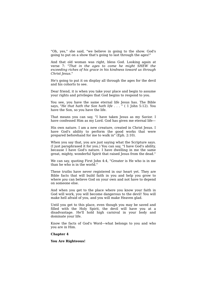"Oh, yes," she said, "we believe in going to the show. God's going to put on a show that's going to last through the ages!"

And that old woman was right, bless God. Looking again at verse 7: *"That in the ages to come he might SHEW the exceeding riches of his grace in his kindness toward us through Christ Jesus."*

He's going to put it on display all through the ages for the devil and his cohorts to see.

Dear friend, it is when you take your place and begin to assume your rights and privileges that God begins to respond to you.

You see, you have the same eternal life Jesus has. The Bible says, *"He that hath the Son hath life* . . . " ( 1 John 5:12). You have the Son, so you have the life.

That means you can say, "I have taken Jesus as my Savior. I have confessed Him as my Lord. God has given me eternal life-

His own nature. I am a new creature, created in Christ Jesus. I have God's ability to perform the good works that were prepared beforehand for me to walk in" (Eph. 2:10).

When you say that, you are just saying what the Scripture says. (I just paraphrased it for you.) You can say, "I have God's ability, because I have God's nature. I have dwelling in me the same great, mighty, wonderful Spirit that raised Jesus from the dead."

We can say, quoting First John 4:4, "Greater is He who is in me than he who is in the world."

These truths have never registered in our heart yet. They are Bible facts that will build faith in you and help you grow to where *you* can believe God on your own and not have to depend on someone else.

And when you get to the place where you know your faith in God will work, you will become dangerous to the devil! You will make hell afraid of you, and you will make Heaven glad.

Until you get to this place, even though you may be saved and filled with the Holy Spirit, the devil will have you at a disadvantage. He'll hold high carnival in your body and dominate your life.

Know the facts of God's Word—what belongs to you and who you are in Him.

## **Chapter 4**

**You Are Righteous!**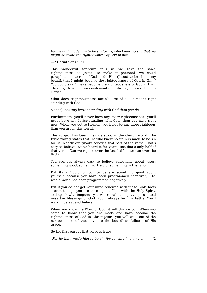*For he hath made him to be sin for us, who knew no sin; that we might be made the righteousness of God in him.*

#### —2 Corinthians 5:21

This wonderful scripture tells us we have the same righteousness as Jesus. To make it personal, we could paraphrase it to read, "God made Him (Jesus) to be sin on my behalf, that I might become the righteousness of God in Him." You could say, "I have become the righteousness of God in Him. There is, therefore, no condemnation unto me, because I am in Christ."

What does "righteousness" mean? First of all, it means right standing with God.

# *Nobody has any better standing with God than you do.*

Furthermore, you'll never have any *more* righteousness—you'll never have any *better* standing with God—than you have right now! When you get to Heaven, you'll not be any more righteous than you are in this world.

This subject has been misunderstood in the church world. The Bible plainly states that He who knew no sin was made to be sin for us. Nearly everybody believes that part of the verse. That's easy to believe; we've heard it for years. But that's only half of that verse. Can we rejoice over the last half as we can over the first?

You see, it's always easy to believe something about Jesus: something good, something He did, something in His favor.

But it's difficult for you to believe something good about yourself, because you have been programmed negatively. The whole world has been programmed negatively.

But if you do not get your mind renewed with these Bible facts —even though you are born again, filled with the Holy Spirit, and speak with tongues—you will remain a negative person and miss the blessings of God. You'll always be in a battle. You'll walk in defeat and failure.

When you know the Word of God, it will change you. When you come to know that you are made and have become the righteousness of God in Christ Jesus, you will walk out of the narrow place of theology into the boundless fullness of His grace.

So the first part of that verse is true:

*"For he hath made him to be sin for us, who knew no sin ..."* (2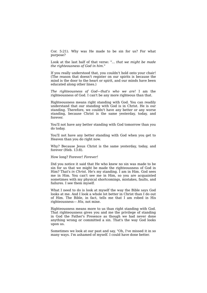Cor. 5:21). Why was He made to be sin for us? For what purpose?

Look at the last half of that verse: *"... that we might be made the righteousness of God in him."*

If you really understood that, you couldn't hold onto your chair! (The reason that doesn't register on our spirits is because the mind is the door to the heart or spirit, and our minds have been educated along other lines.)

*The righteousness of God—that's who we are!* I am the righteousness of God. I can't be any more righteous than that.

Righteousness means right standing with God. You can readily understand that our standing with God is in Christ. He is our standing. Therefore, we couldn't have any better or any worse standing, because Christ is the same yesterday, today, and forever.

You'll not have any better standing with God tomorrow than you do today.

You'll not have any better standing with God when you get to Heaven than you do right now.

Why? Because Jesus Christ is the same yesterday, today, and forever (Heb. 13:8).

#### How long? Forever! *Forever!*

Did you notice it said that He who knew no sin was made to be sin for us that we might be made the righteousness of God in Him? That's *in Christ.* He's my standing. I am in Him. God sees me in Him. You can't see me in Him, so you are acquainted sometimes with my physical shortcomings, mistakes, faults, and failures. I see them myself.

What I need to do is look at myself the way the Bible says God looks at me. And I look a whole lot better in Christ than I do out of Him. The Bible, in fact, tells me that I am robed in His righteousness— *His,* not mine.

Righteousness means more to us than right standing with God. That righteousness gives you and me the privilege of standing in God the Father's Presence as though we had never done anything wrong or committed a sin. That's the way God looks upon us.

Sometimes we look at our past and say, "Oh, I've missed it in so many ways. I'm ashamed of myself. I could have done better.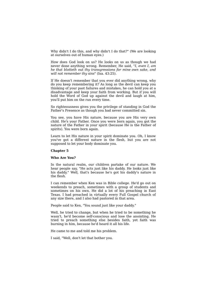Why didn't I do this, and why didn't I do that?" (We are looking at ourselves out of human eyes.)

How does God look on us? He looks on us as though we had never done anything wrong. Remember, He said, *"I, even I, am he that blotteth out thy transgressions for mine own sake, and will not remember thy sins"* (Isa. 43:25).

If He doesn't remember that you ever did anything wrong, why do you keep remembering it? As long as the devil can keep you thinking of your past failures and mistakes, he can hold you at a disadvantage and keep your faith from working. But if you will hold the Word of God up against the devil and laugh at him, you'll put him on the run every time.

So righteousness gives you the privilege of standing in God the Father's Presence as though you had never committed sin.

You see, you have His nature, because you are His very own child. He's your Father. Once you were born again, you got the nature of the Father in your spirit (because He is the Father of spirits). You were born again.

Learn to let His nature in your spirit dominate you. Oh, I know you've got a different nature in the flesh, but you are not supposed to let your body dominate you.

# **Chapter 5**

# **Who Are You?**

In the natural realm, our children partake of our nature. We hear people say, "He acts just like his daddy. He looks just like his daddy." Well, that's because he's got his daddy's nature in the flesh.

I can remember when Ken was in Bible college. He'd go out on weekends to preach, sometimes with a group of students and sometimes on his own. He did a lot of his preaching in East Texas. I had preached in virtually every Full Gospel church of any size there, and I also had pastored in that area.

People said to Ken, "You sound just like your daddy."

Well, he tried to change, but when he tried to be something he wasn't, he'd become self-conscious and lose the anointing. He tried to preach something else besides faith, yet faith was burning in him, because he'd heard it all his life.

He came to me and told me his problem.

I said, "Well, don't let that bother you.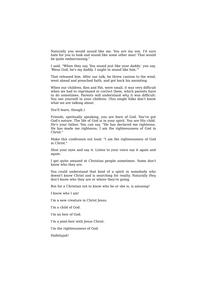Naturally you would sound like me. You are my son. I'd sure hate for you to look and sound like some other man! That would be quite embarrassing."

I said, "When they say, You sound just like your daddy,' you say, 'Bless God, he's my daddy. I ought to sound like him.'"

That released him. After our talk, he threw caution to the wind, went ahead and preached faith, and got back his anointing.

When our children, Ken and Pat, were small, it was very difficult when we had to reprimand or correct them, which parents have to do sometimes. Parents will understand *why* it was difficult: You see yourself in your children. (You single folks don't know what we are talking about.

You'll learn, though.)

Friends, spiritually speaking, you are born of God. You've got God's nature. The life of God is in your spirit. You are His child. He's your father. You can say, "He has declared me righteous. He has made me righteous. I am the righteousness of God in Christ<sup>"</sup>

Make this confession out loud: "I am the righteousness of God in Christ."

Shut your eyes and say it. Listen to your voice say it again and again.

I get quite amused at Christian people sometimes. Some don't know who they are.

You could understand that kind of a spirit in somebody who doesn't know Christ and is searching for reality. Naturally *they* don't know who they are or where they're going.

But for a Christian not to know who he or she is, is amusing!

I know who I am!

I'm a new creature in Christ Jesus.

I'm a child of God.

I'm an heir of God.

I'm a joint-heir with Jesus Christ.

I'm the righteousness of God.

Hallelujah!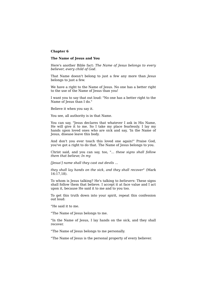# **Chapter 6**

#### **The Name of Jesus and You**

Here's another Bible fact: *The Name of Jesus belongs to every believer, every child of God.*

That Name doesn't belong to just a few any more than *Jesus* belongs to just a few.

We have a right to the Name of Jesus. No one has a better right to the use of the Name of Jesus than you!

I want you to say that out loud: "No one has a better right to the Name of Jesus than I do."

Believe it when you say it.

You see, all authority is in that Name.

You can say, "Jesus declares that whatever I ask in His Name, He will give it to me. So I take my place fearlessly. I lay my hands upon loved ones who are sick and say, 'In the Name of Jesus, disease leave this body.

And don't you ever touch this loved one again!" Praise God, you've got a right to do that. The Name of Jesus belongs to you.

Christ said, and you can say, too, *"... these signs shall follow them that believe; In my*

*[Jesus'] name shall they cast out devils ...*

*they shall lay hands on the sick, and they shall recover"* (Mark 16:17,18).

To whom is Jesus talking? He's talking to *believers*: These signs shall follow them that believe. I accept it at face value and I act upon it, because He said it to me and to you too.

To get this truth down into your spirit, repeat this confession out loud:

"He said it to me.

"The Name of Jesus belongs to me.

"In the Name of Jesus, I lay hands on the sick, and they shall recover.

"The Name of Jesus belongs to me personally.

"The Name of Jesus is the personal property of every believer.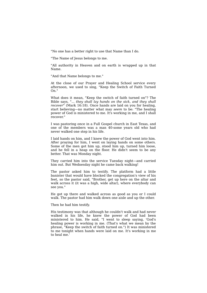"No one has a better right to use that Name than I do.

"The Name of Jesus belongs to me.

"All authority in Heaven and on earth is wrapped up in that Name.

"And that Name belongs to me."

At the close of our Prayer and Healing School service every afternoon, we used to sing, "Keep the Switch of Faith Turned On."

What does it mean, "Keep the switch of faith turned on"? The Bible says, "... *they shall lay hands on the sick, and they shall recover"* (Mark 16:18). Once hands are laid on you for healing, start believing—no matter what may *seem* to be: "The healing power of God is ministered to me. It's working in me, and I shall recover."

I was pastoring once in a Full Gospel church in East Texas, and one of the members was a man 40-some years old who had never walked one step in his life.

I laid hands on him, and I knew the power of God went into him. After praying for him, I went on laying hands on some others. Some of the men got him up, stood him up, turned him loose, and he fell in a heap on the floor. He didn't seem to be any better. That was Monday night.

They carried him into the service Tuesday night—and carried him out. But Wednesday night he came back walking!

The pastor asked him to testify. The platform had a little banister that would have blocked the congregation's view of his feet, so the pastor said, "Brother, get up here on the altar and walk across it (it was a high, wide altar), where everybody can see you."

He got up there and walked across as good as you or I could walk. The pastor had him walk down one aisle and up the other.

Then he had him testify.

His testimony was that although he couldn't walk and had never walked in his life, he knew the power of God had been ministered to him. He said, "I went to sleep saying, 'God's healing power is working in me. (That's what we mean by the phrase, "Keep the switch of faith turned on.") It was ministered to me tonight when hands were laid on me. It's working in me to heal me.'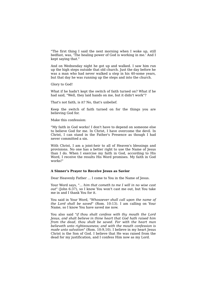"The first thing I said the next morning when I woke up, still bedfast, was, 'The healing power of God is working in me.' And I kept saying that."

And on Wednesday night he got up and walked. I saw him run up the high steps outside that old church. Just the day before he was a man who had never walked a step in his 40-some years, but that day he was running up the steps and into the church.

Glory to God!

What if he hadn't kept the switch of faith turned on? What if he had said, "Well, they laid hands on me, but it didn't work"?

That's not faith, is it? No, that's unbelief.

Keep the switch of faith turned on for the things you are believing God for.

Make this confession:

"My faith in God works! I don't have to depend on someone else to believe God for me. In Christ, I have overcome the devil. In Christ, I can stand in the Father's Presence as though I had never committed a sin.

With Christ, I am a joint-heir to all of Heaven's blessings and provisions. No one has a better right to use the Name of Jesus than I do. When I exercise my faith in God, according to His Word, I receive the results His Word promises. My faith in God works!"

## **A Sinner's Prayer to Receive Jesus as Savior**

Dear Heavenly Father ... I come to You in the Name of Jesus.

Your Word says, "... *him that cometh to me I will in no wise cast out"* (John 6:37), so I know You won't cast me out, but You take me in and I thank You for it.

You said in Your Word, *"Whosoever shall call upon the name of the Lord shall be saved"* (Rom. 10:13). I am calling on Your Name, so I know You have saved me now.

You also said *"if thou shalt confess with thy mouth the Lord Jesus, and shalt believe in thine heart that God hath raised him from the dead, thou shalt be saved. For with the heart man believeth unto righteousness; and with the mouth confession is made unto salvation"* (Rom. 10:9,10). I believe in my heart Jesus Christ is the Son of God. I believe that He was raised from the dead for my justification, and I confess Him now as my Lord.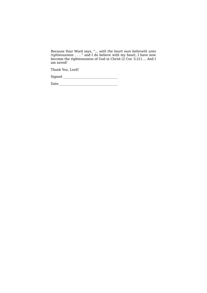Because Your Word says, "... *with the heart man believeth unto righteousness* . . . " and I do believe with my heart, I have now become the righteousness of God in Christ (2 Cor. 5:21) ... And I am saved!

Thank You, Lord!

 $\begin{minipage}[c]{0.9\linewidth} \emph{Signal} \end{minipage} \vspace{0.05in} \begin{minipage}[c]{0.9\linewidth} \emph{Signal} \end{minipage} \vspace{0.05in} \begin{minipage}[c]{0.9\linewidth} \emph{Signal} \end{minipage} \vspace{0.05in} \begin{minipage}[c]{0.9\linewidth} \emph{Signal} \end{minipage} \vspace{0.05in} \begin{minipage}[c]{0.9\linewidth} \emph{Signal} \end{minipage} \vspace{0.05in} \begin{minipage}[c]{0.9\linewidth} \emph{Signal} \end{minipage} \v$ 

Date  $\_\_$